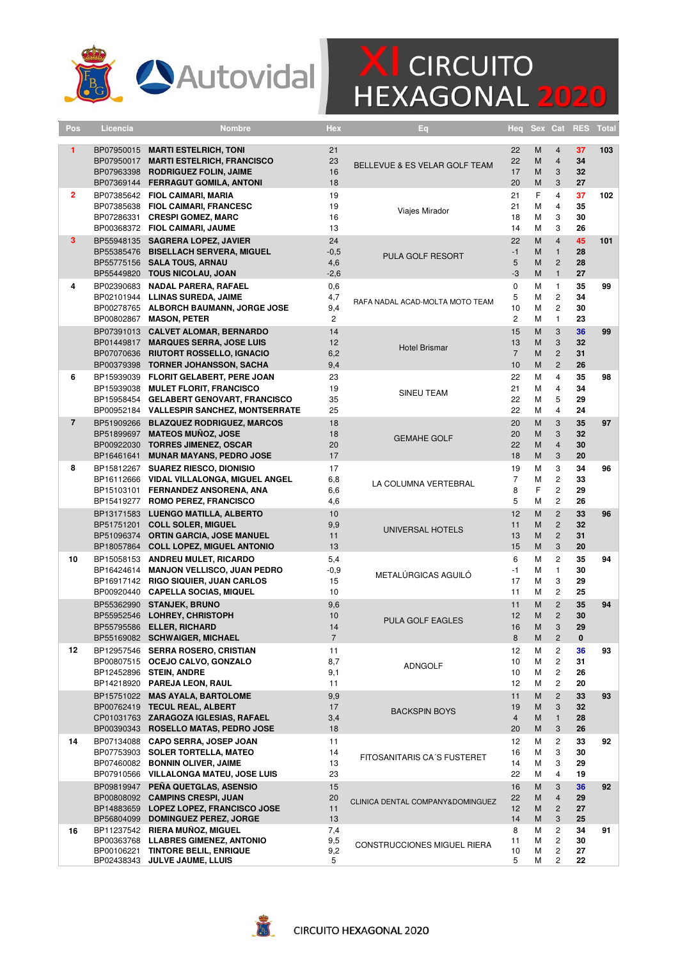

## **X** CIRCUITO<br>HEXAGONAL 2020

| Pos            | Licencia   | <b>Nombre</b>                                                                                                                                                       | Hex                                 | Eq                               | Heq                              | <b>Sex</b>       | Cat                                                              | <b>RES</b>           | <b>Total</b> |
|----------------|------------|---------------------------------------------------------------------------------------------------------------------------------------------------------------------|-------------------------------------|----------------------------------|----------------------------------|------------------|------------------------------------------------------------------|----------------------|--------------|
| 1              |            | BP07950015 MARTI ESTELRICH, TONI<br>BP07950017 MARTI ESTELRICH, FRANCISCO<br>BP07963398 RODRIGUEZ FOLIN, JAIME<br>BP07369144 FERRAGUT GOMILA, ANTONI                | 21<br>23<br>16<br>18                | BELLEVUE & ES VELAR GOLF TEAM    | 22<br>22<br>17<br>20             | M<br>M<br>M<br>M | $\overline{4}$<br>$\overline{4}$<br>3<br>3                       | 37<br>34<br>32<br>27 | 103          |
| $\overline{2}$ |            | BP07385642 FIOL CAIMARI, MARIA<br>BP07385638 FIOL CAIMARI, FRANCESC<br>BP07286331 CRESPI GOMEZ, MARC<br>BP00368372 FIOL CAIMARI, JAUME                              | 19<br>19<br>16<br>13                | Viajes Mirador                   | 21<br>21<br>18<br>14             | F<br>M<br>M<br>M | $\overline{4}$<br>$\overline{4}$<br>3<br>3                       | 37<br>35<br>30<br>26 | 102          |
| 3              |            | BP55948135 SAGRERA LOPEZ, JAVIER<br>BP55385476 BISELLACH SERVERA, MIGUEL<br>BP55775156 SALA TOUS, ARNAU<br>BP55449820 TOUS NICOLAU, JOAN                            | 24<br>$-0,5$<br>4,6<br>$-2,6$       | PULA GOLF RESORT                 | 22<br>$-1$<br>5<br>-3            | M<br>M<br>M<br>M | $\overline{4}$<br>$\mathbf{1}$<br>$\overline{2}$<br>$\mathbf{1}$ | 45<br>28<br>28<br>27 | 101          |
| 4              |            | BP02390683 NADAL PARERA, RAFAEL<br>BP02101944 LLINAS SUREDA, JAIME<br>BP00278765 ALBORCH BAUMANN, JORGE JOSE<br>BP00802867 MASON, PETER                             | 0,6<br>4,7<br>9,4<br>$\overline{2}$ | RAFA NADAL ACAD-MOLTA MOTO TEAM  | 0<br>5<br>10<br>$\overline{c}$   | M<br>M<br>M<br>M | $\mathbf{1}$<br>$\overline{c}$<br>$\overline{2}$<br>$\mathbf{1}$ | 35<br>34<br>30<br>23 | 99           |
|                |            | BP07391013 CALVET ALOMAR, BERNARDO<br>BP01449817 MARQUES SERRA, JOSE LUIS<br>BP07070636 RIUTORT ROSSELLO, IGNACIO<br>BP00379398 TORNER JOHANSSON, SACHA             | 14<br>12<br>6,2<br>9,4              | <b>Hotel Brismar</b>             | 15<br>13<br>$\overline{7}$<br>10 | M<br>M<br>M<br>M | 3<br>3<br>$\overline{2}$<br>$\overline{2}$                       | 36<br>32<br>31<br>26 | 99           |
| 6              |            | BP15939039 FLORIT GELABERT, PERE JOAN<br>BP15939038 MULET FLORIT, FRANCISCO<br>BP15958454 GELABERT GENOVART, FRANCISCO<br>BP00952184 VALLESPIR SANCHEZ, MONTSERRATE | 23<br>19<br>35<br>25                | SINEU TEAM                       | 22<br>21<br>22<br>22             | M<br>M<br>M<br>M | $\overline{4}$<br>$\overline{4}$<br>5<br>$\overline{4}$          | 35<br>34<br>29<br>24 | 98           |
| $\overline{7}$ | BP16461641 | BP51909266 BLAZQUEZ RODRIGUEZ, MARCOS<br>BP51899697 MATEOS MUÑOZ, JOSE<br>BP00922030 TORRES JIMENEZ, OSCAR<br><b>MUNAR MAYANS, PEDRO JOSE</b>                       | 18<br>18<br>20<br>17                | <b>GEMAHE GOLF</b>               | 20<br>20<br>22<br>18             | M<br>M<br>M<br>M | 3<br>3<br>$\overline{4}$<br>3                                    | 35<br>32<br>30<br>20 | 97           |
| 8              |            | BP15812267 SUAREZ RIESCO, DIONISIO<br>BP16112666 VIDAL VILLALONGA, MIGUEL ANGEL<br>BP15103101 FERNANDEZ ANSORENA, ANA<br>BP15419277 ROMO PEREZ, FRANCISCO           | 17<br>6,8<br>6,6<br>4,6             | LA COLUMNA VERTEBRAL             | 19<br>$\overline{7}$<br>8<br>5   | М<br>M<br>F<br>M | 3<br>$\overline{2}$<br>$\overline{c}$<br>$\overline{c}$          | 34<br>33<br>29<br>26 | 96           |
|                |            | BP13171583 LUENGO MATILLA, ALBERTO<br>BP51751201 COLL SOLER, MIGUEL<br>BP51096374 ORTIN GARCIA, JOSE MANUEL<br>BP18057864 COLL LOPEZ, MIGUEL ANTONIO                | 10<br>9,9<br>11<br>13               | UNIVERSAL HOTELS                 | 12<br>11<br>13<br>15             | M<br>M<br>M<br>M | $\overline{2}$<br>$\mathbf{2}$<br>$\overline{2}$<br>3            | 33<br>32<br>31<br>20 | 96           |
| 10             |            | BP15058153 ANDREU MULET, RICARDO<br>BP16424614 MANJON VELLISCO, JUAN PEDRO<br>BP16917142 RIGO SIQUIER, JUAN CARLOS<br>BP00920440 CAPELLA SOCIAS, MIQUEL             | 5,4<br>$-0,9$<br>15<br>10           | METALÚRGICAS AGUILÓ              | 6<br>$-1$<br>17<br>11            | М<br>М<br>M<br>M | $\overline{c}$<br>$\mathbf{1}$<br>3<br>2                         | 35<br>30<br>29<br>25 | 94           |
|                |            | BP55362990 STANJEK, BRUNO<br>BP55952546 LOHREY, CHRISTOPH<br>BP55795586 ELLER, RICHARD<br>BP55169082 SCHWAIGER, MICHAEL                                             | 9,6<br>10<br>14                     | <b>PULA GOLF EAGLES</b>          | 11<br>12<br>16<br>8              | M<br>M<br>M<br>M | $\overline{2}$<br>$\overline{2}$<br>3<br>2                       | 35<br>30<br>29<br>U  | 94           |
| 12             |            | BP12957546 SERRA ROSERO, CRISTIAN<br>BP00807515 OCEJO CALVO, GONZALO<br>BP12452896 STEIN, ANDRE<br>BP14218920 PAREJA LEON, RAUL                                     | 11<br>8,7<br>9,1<br>11              | ADNGOLF                          | 12<br>10<br>10<br>12             | М<br>М<br>М<br>М | 2<br>$\overline{c}$<br>$\overline{c}$<br>$\mathbf{2}$            | 36<br>31<br>26<br>20 | 93           |
|                |            | BP15751022 MAS AYALA, BARTOLOME<br>BP00762419 TECUL REAL, ALBERT<br>CP01031763 ZARAGOZA IGLESIAS, RAFAEL<br>BP00390343 ROSELLO MATAS, PEDRO JOSE                    | 9,9<br>17<br>3,4<br>18              | <b>BACKSPIN BOYS</b>             | 11<br>19<br>$\overline{4}$<br>20 | M<br>M<br>M<br>M | $\overline{2}$<br>3<br>$\mathbf{1}$<br>3                         | 33<br>32<br>28<br>26 | 93           |
| 14             |            | BP07134088 CAPO SERRA, JOSEP JOAN<br>BP07753903 SOLER TORTELLA, MATEO<br>BP07460082 BONNIN OLIVER, JAIME<br>BP07910566 VILLALONGA MATEU, JOSE LUIS                  | 11<br>14<br>13<br>23                | FITOSANITARIS CA'S FUSTERET      | 12<br>16<br>14<br>22             | М<br>М<br>М<br>М | $\overline{c}$<br>3<br>3<br>$\overline{4}$                       | 33<br>30<br>29<br>19 | 92           |
|                |            | BP09819947 PEÑA QUETGLAS, ASENSIO<br>BP00808092 CAMPINS CRESPI, JUAN<br>BP14883659 LOPEZ LOPEZ, FRANCISCO JOSE<br>BP56804099 DOMINGUEZ PEREZ, JORGE                 | 15<br>20<br>11<br>13                | CLINICA DENTAL COMPANY&DOMINGUEZ | 16<br>22<br>12<br>14             | M<br>M<br>M<br>M | 3<br>$\overline{4}$<br>$\overline{2}$<br>3                       | 36<br>29<br>27<br>25 | 92           |
| 16             |            | BP11237542 RIERA MUÑOZ, MIGUEL<br>BP00363768 LLABRES GIMENEZ, ANTONIO<br>BP00106221 TINTORE BELIL, ENRIQUE<br>BP02438343 JULVE JAUME, LLUIS                         | 7,4<br>9,5<br>9,2<br>5              | CONSTRUCCIONES MIGUEL RIERA      | 8<br>11<br>10<br>5               | М<br>М<br>М<br>М | 2<br>$\mathbf{2}$<br>$\overline{c}$<br>$\overline{2}$            | 34<br>30<br>27<br>22 | 91           |

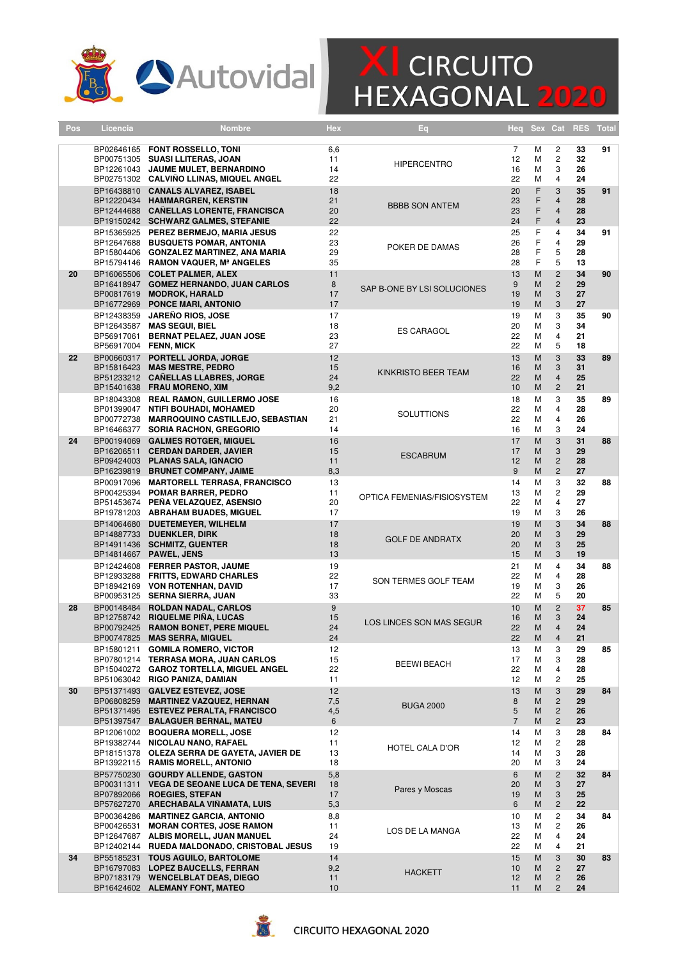

## **X** CIRCUITO<br>HEXAGONAL 2020

| Pos | Licencia                                             | Nombre                                                                                                                                                         | Hex                    | Eq                          | Heq                            | Sex              | Cat                                                     | <b>RES</b>           | <b>Total</b> |
|-----|------------------------------------------------------|----------------------------------------------------------------------------------------------------------------------------------------------------------------|------------------------|-----------------------------|--------------------------------|------------------|---------------------------------------------------------|----------------------|--------------|
|     |                                                      | BP02646165 FONT ROSSELLO, TONI<br>BP00751305 SUASI LLITERAS, JOAN<br>BP12261043 JAUME MULET, BERNARDINO<br>BP02751302 CALVIÑO LLINAS, MIQUEL ANGEL             | 6,6<br>11<br>14<br>22  | <b>HIPERCENTRO</b>          | 7<br>12<br>16<br>22            | М<br>М<br>М<br>М | 2<br>$\overline{c}$<br>3<br>$\overline{4}$              | 33<br>32<br>26<br>24 | 91           |
|     |                                                      | BP16438810 CANALS ALVAREZ, ISABEL<br>BP12220434 HAMMARGREN, KERSTIN<br>BP12444688 CAÑELLAS LORENTE, FRANCISCA<br>BP19150242 SCHWARZ GALMES, STEFANIE           | 18<br>21<br>20<br>22   | <b>BBBB SON ANTEM</b>       | 20<br>23<br>23<br>24           | F<br>F<br>F<br>F | 3<br>$\overline{4}$<br>$\overline{4}$<br>$\overline{4}$ | 35<br>28<br>28<br>23 | 91           |
|     |                                                      | BP15365925 PEREZ BERMEJO, MARIA JESUS<br>BP12647688 BUSQUETS POMAR, ANTONIA<br>BP15804406 GONZALEZ MARTINEZ, ANA MARIA<br>BP15794146 RAMON VAQUER, Mª ANGELES  | 22<br>23<br>29<br>35   | POKER DE DAMAS              | 25<br>26<br>28<br>28           | F<br>F<br>F<br>F | $\overline{4}$<br>$\overline{4}$<br>5<br>5              | 34<br>29<br>28<br>13 | 91           |
| 20  |                                                      | BP16065506 COLET PALMER, ALEX<br>BP16418947 GOMEZ HERNANDO, JUAN CARLOS<br>BP00817619 MODROK, HARALD<br>BP16772969 PONCE MARI, ANTONIO                         | 11<br>8<br>17<br>17    | SAP B-ONE BY LSI SOLUCIONES | 13<br>9<br>19<br>19            | M<br>M<br>M<br>M | $\overline{c}$<br>$\overline{c}$<br>3<br>3              | 34<br>29<br>27<br>27 | 90           |
|     |                                                      | BP12438359 JAREÑO RIOS, JOSE<br>BP12643587 MAS SEGUI, BIEL<br>BP56917061 BERNAT PELAEZ, JUAN JOSE<br>BP56917004 FENN, MICK                                     | 17<br>18<br>23<br>27   | <b>ES CARAGOL</b>           | 19<br>20<br>22<br>22           | М<br>М<br>М<br>М | 3<br>3<br>$\overline{4}$<br>5                           | 35<br>34<br>21<br>18 | 90           |
| 22  |                                                      | BP00660317 PORTELL JORDA, JORGE<br>BP15816423 MAS MESTRE, PEDRO<br>BP51233212 CAÑELLAS LLABRES, JORGE<br>BP15401638 FRAU MORENO, XIM                           | 12<br>15<br>24<br>9,2  | KINKRISTO BEER TEAM         | 13<br>16<br>22<br>10           | M<br>M<br>M<br>M | 3<br>3<br>$\overline{4}$<br>$\overline{2}$              | 33<br>31<br>25<br>21 | 89           |
|     |                                                      | BP18043308 REAL RAMON, GUILLERMO JOSE<br>BP01399047 NTIFI BOUHADI, MOHAMED<br>BP00772738 MARROQUINO CASTILLEJO, SEBASTIAN<br>BP16466377 SORIA RACHON, GREGORIO | 16<br>20<br>21<br>14   | <b>SOLUTTIONS</b>           | 18<br>22<br>22<br>16           | М<br>М<br>М<br>М | 3<br>$\overline{4}$<br>$\overline{4}$<br>3              | 35<br>28<br>26<br>24 | 89           |
| 24  |                                                      | BP00194069 GALMES ROTGER, MIGUEL<br>BP16206511 CERDAN DARDER, JAVIER<br>BP09424003 PLANAS SALA, IGNACIO<br>BP16239819 BRUNET COMPANY, JAIME                    | 16<br>15<br>11<br>8,3  | <b>ESCABRUM</b>             | 17<br>17<br>12<br>9            | M<br>M<br>M<br>M | 3<br>3<br>$\overline{c}$<br>$\overline{2}$              | 31<br>29<br>28<br>27 | 88           |
|     |                                                      | BP00917096 MARTORELL TERRASA, FRANCISCO<br>BP00425394 POMAR BARRER, PEDRO<br>BP51453674 PENA VELAZQUEZ, ASENSIO<br>BP19781203 ABRAHAM BUADES, MIGUEL           | 13<br>11<br>20<br>17   | OPTICA FEMENIAS/FISIOSYSTEM | 14<br>13<br>22<br>19           | М<br>М<br>М<br>М | 3<br>$\overline{c}$<br>$\overline{4}$<br>3              | 32<br>29<br>27<br>26 | 88           |
|     | BP14064680                                           | <b>DUETEMEYER, WILHELM</b><br>BP14887733 DUENKLER, DIRK<br>BP14911436 SCHMITZ, GUENTER<br>BP14814667 PAWEL, JENS                                               | 17<br>18<br>18<br>13   | <b>GOLF DE ANDRATX</b>      | 19<br>20<br>20<br>15           | M<br>M<br>M<br>M | 3<br>3<br>3<br>3                                        | 34<br>29<br>25<br>19 | 88           |
|     |                                                      | BP12424608 FERRER PASTOR, JAUME<br>BP12933288 FRITTS, EDWARD CHARLES<br>BP18942169 VON ROTENHAN, DAVID<br>BP00953125 SERNA SIERRA, JUAN                        | 19<br>22<br>17<br>33   | SON TERMES GOLF TEAM        | 21<br>22<br>19<br>22           | М<br>М<br>М<br>М | $\overline{4}$<br>$\overline{4}$<br>3<br>5              | 34<br>28<br>26<br>20 | 88           |
| 28  |                                                      | BP00148484 ROLDAN NADAL, CARLOS<br>BP12758742 RIQUELME PIÑA, LUCAS<br>BP00792425 RAMON BONET, PERE MIQUEL<br>BP00747825 MAS SERRA, MIGUEL                      | 9<br>15<br>24<br>24    | LOS LINCES SON MAS SEGUR    | 10<br>16<br>22<br>22           | M<br>M<br>M<br>M | $\overline{2}$<br>3<br>$\overline{4}$<br>4              | 37<br>24<br>24<br>21 | 85           |
|     |                                                      | BP15801211 GOMILA ROMERO, VICTOR<br>BP07801214 TERRASA MORA, JUAN CARLOS<br>BP15040272 GAROZ TORTELLA, MIGUEL ANGEL<br>BP51063042 RIGO PANIZA, DAMIAN          | 12<br>15<br>22<br>11   | <b>BEEWI BEACH</b>          | 13<br>17<br>22<br>12           | М<br>М<br>М<br>М | 3<br>3<br>4<br>$\overline{c}$                           | 29<br>28<br>28<br>25 | 85           |
| 30  | BP51371493<br>BP06808259<br>BP51371495<br>BP51397547 | <b>GALVEZ ESTEVEZ, JOSE</b><br><b>MARTINEZ VAZQUEZ, HERNAN</b><br><b>ESTEVEZ PERALTA, FRANCISCO</b><br><b>BALAGUER BERNAL, MATEU</b>                           | 12<br>7,5<br>4,5<br>6  | <b>BUGA 2000</b>            | 13<br>8<br>5<br>$\overline{7}$ | M<br>M<br>M<br>M | 3<br>$\overline{c}$<br>$\overline{c}$<br>$\mathbf{2}$   | 29<br>29<br>26<br>23 | 84           |
|     | BP12061002<br>BP19382744                             | <b>BOQUERA MORELL, JOSE</b><br><b>NICOLAU NANO, RAFAEL</b><br>BP18151378 OLEZA SERRA DE GAYETA, JAVIER DE<br>BP13922115 RAMIS MORELL, ANTONIO                  | 12<br>11<br>13<br>18   | HOTEL CALA D'OR             | 14<br>12<br>14<br>20           | М<br>М<br>М<br>М | 3<br>2<br>3<br>3                                        | 28<br>28<br>28<br>24 | 84           |
|     | BP57750230<br>BP07892066                             | <b>GOURDY ALLENDE, GASTON</b><br>BP00311311 VEGA DE SEOANE LUCA DE TENA, SEVERI<br><b>ROEGIES, STEFAN</b><br>BP57627270 ARECHABALA VINAMATA, LUIS              | 5,8<br>18<br>17<br>5,3 | Pares y Moscas              | 6<br>20<br>19<br>6             | M<br>M<br>M<br>M | $\overline{c}$<br>3<br>3<br>$\mathbf{2}$                | 32<br>27<br>25<br>22 | 84           |
|     | BP00364286<br>BP00426531<br>BP12647687               | <b>MARTINEZ GARCIA, ANTONIO</b><br><b>MORAN CORTES, JOSE RAMON</b><br>ALBIS MORELL, JUAN MANUEL<br>BP12402144 RUEDA MALDONADO, CRISTOBAL JESUS                 | 8,8<br>11<br>24<br>19  | LOS DE LA MANGA             | 10<br>13<br>22<br>22           | М<br>М<br>М<br>М | 2<br>2<br>4<br>$\overline{4}$                           | 34<br>26<br>24<br>21 | 84           |
| 34  | BP55185231<br>BP16797083                             | <b>TOUS AGUILO, BARTOLOME</b><br><b>LOPEZ BAUCELLS, FERRAN</b><br>BP07183179 WENCELBLAT DEAS, DIEGO<br>BP16424602 ALEMANY FONT, MATEO                          | 14<br>9,2<br>11<br>10  | <b>HACKETT</b>              | 15<br>10<br>12<br>11           | M<br>M<br>M<br>M | 3<br>$\mathbf{2}$<br>$\overline{c}$<br>$\overline{c}$   | 30<br>27<br>26<br>24 | 83           |